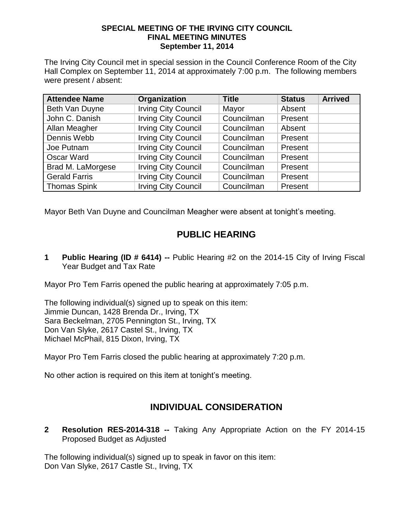## **SPECIAL MEETING OF THE IRVING CITY COUNCIL FINAL MEETING MINUTES September 11, 2014**

The Irving City Council met in special session in the Council Conference Room of the City Hall Complex on September 11, 2014 at approximately 7:00 p.m. The following members were present / absent:

| <b>Attendee Name</b> | Organization               | <b>Title</b> | <b>Status</b> | <b>Arrived</b> |
|----------------------|----------------------------|--------------|---------------|----------------|
| Beth Van Duyne       | <b>Irving City Council</b> | Mayor        | Absent        |                |
| John C. Danish       | <b>Irving City Council</b> | Councilman   | Present       |                |
| Allan Meagher        | <b>Irving City Council</b> | Councilman   | Absent        |                |
| Dennis Webb          | <b>Irving City Council</b> | Councilman   | Present       |                |
| Joe Putnam           | <b>Irving City Council</b> | Councilman   | Present       |                |
| <b>Oscar Ward</b>    | <b>Irving City Council</b> | Councilman   | Present       |                |
| Brad M. LaMorgese    | <b>Irving City Council</b> | Councilman   | Present       |                |
| <b>Gerald Farris</b> | <b>Irving City Council</b> | Councilman   | Present       |                |
| <b>Thomas Spink</b>  | <b>Irving City Council</b> | Councilman   | Present       |                |

Mayor Beth Van Duyne and Councilman Meagher were absent at tonight's meeting.

## **PUBLIC HEARING**

**1 Public Hearing (ID # 6414) --** Public Hearing #2 on the 2014-15 City of Irving Fiscal Year Budget and Tax Rate

Mayor Pro Tem Farris opened the public hearing at approximately 7:05 p.m.

The following individual(s) signed up to speak on this item: Jimmie Duncan, 1428 Brenda Dr., Irving, TX Sara Beckelman, 2705 Pennington St., Irving, TX Don Van Slyke, 2617 Castel St., Irving, TX Michael McPhail, 815 Dixon, Irving, TX

Mayor Pro Tem Farris closed the public hearing at approximately 7:20 p.m.

No other action is required on this item at tonight's meeting.

## **INDIVIDUAL CONSIDERATION**

**2 Resolution RES-2014-318 --** Taking Any Appropriate Action on the FY 2014-15 Proposed Budget as Adjusted

The following individual(s) signed up to speak in favor on this item: Don Van Slyke, 2617 Castle St., Irving, TX